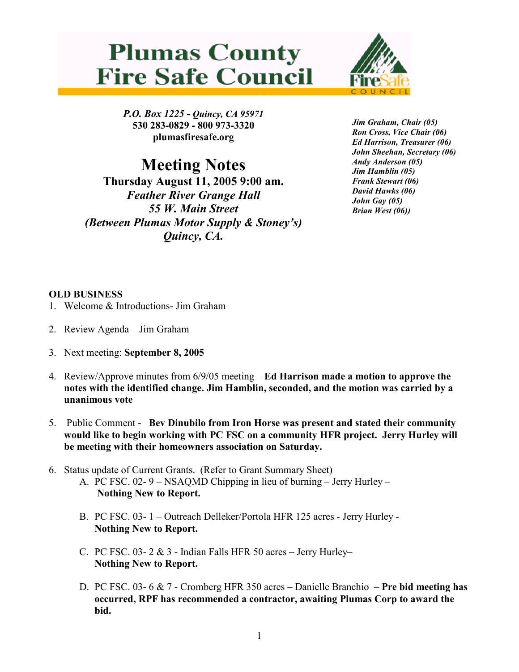## **Plumas County Fire Safe Council**



P.O. Box 1225 - Quincy, CA 95971 530 283-0829 - 800 973-3320 plumasfiresafe.org

Meeting Notes

Thursday August 11, 2005 9:00 am. Feather River Grange Hall 55 W. Main Street (Between Plumas Motor Supply & Stoney's) Quincy, CA.

Jim Graham, Chair (05) Ron Cross, Vice Chair (06) Ed Harrison, Treasurer (06) John Sheehan, Secretary (06) Andy Anderson (05) Jim Hamblin (05) Frank Stewart (06) David Hawks (06) John Gay (05) Brian West (06))

## OLD BUSINESS

- 1. Welcome & Introductions- Jim Graham
- 2. Review Agenda Jim Graham
- 3. Next meeting: September 8, 2005
- 4. Review/Approve minutes from 6/9/05 meeting Ed Harrison made a motion to approve the notes with the identified change. Jim Hamblin, seconded, and the motion was carried by a unanimous vote
- 5. Public Comment Bev Dinubilo from Iron Horse was present and stated their community would like to begin working with PC FSC on a community HFR project. Jerry Hurley will be meeting with their homeowners association on Saturday.
- 6. Status update of Current Grants. (Refer to Grant Summary Sheet)
	- A. PC FSC. 02- 9 NSAQMD Chipping in lieu of burning Jerry Hurley Nothing New to Report.
	- B. PC FSC. 03- 1 Outreach Delleker/Portola HFR 125 acres Jerry Hurley Nothing New to Report.
	- C. PC FSC.  $03 2 \& 3$  Indian Falls HFR 50 acres Jerry Hurley– Nothing New to Report.
	- D. PC FSC. 03- 6 & 7 Cromberg HFR 350 acres Danielle Branchio Pre bid meeting has occurred, RPF has recommended a contractor, awaiting Plumas Corp to award the bid.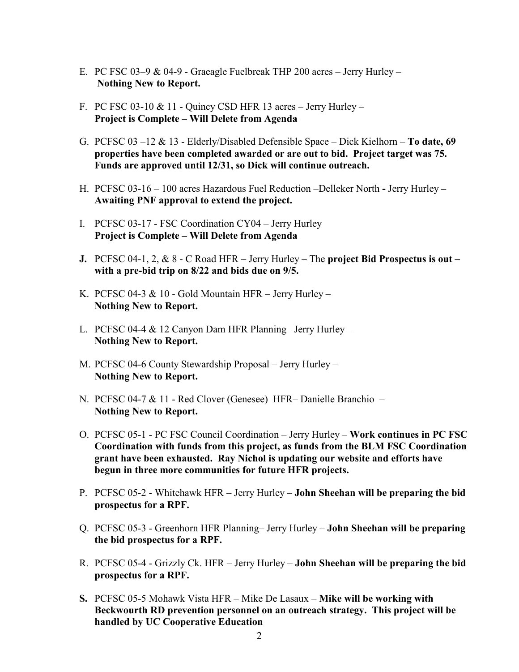- E. PC FSC 03–9 & 04-9 Graeagle Fuelbreak THP 200 acres Jerry Hurley Nothing New to Report.
- F. PC FSC 03-10  $& 11$  Quincy CSD HFR 13 acres Jerry Hurley Project is Complete – Will Delete from Agenda
- G. PCFSC  $03 12 \& 13$  Elderly/Disabled Defensible Space Dick Kielhorn **To date, 69** properties have been completed awarded or are out to bid. Project target was 75. Funds are approved until 12/31, so Dick will continue outreach.
- H. PCFSC 03-16 100 acres Hazardous Fuel Reduction –Delleker North Jerry Hurley Awaiting PNF approval to extend the project.
- I. PCFSC 03-17 FSC Coordination CY04 Jerry Hurley Project is Complete – Will Delete from Agenda
- J. PCFSC 04-1, 2,  $& 8$  C Road HFR Jerry Hurley The project Bid Prospectus is out with a pre-bid trip on 8/22 and bids due on 9/5.
- K. PCFSC 04-3 & 10 Gold Mountain HFR Jerry Hurley Nothing New to Report.
- L. PCFSC 04-4 & 12 Canyon Dam HFR Planning– Jerry Hurley Nothing New to Report.
- M. PCFSC 04-6 County Stewardship Proposal Jerry Hurley Nothing New to Report.
- N. PCFSC 04-7 & 11 Red Clover (Genesee) HFR– Danielle Branchio Nothing New to Report.
- O. PCFSC 05-1 PC FSC Council Coordination Jerry Hurley Work continues in PC FSC Coordination with funds from this project, as funds from the BLM FSC Coordination grant have been exhausted. Ray Nichol is updating our website and efforts have begun in three more communities for future HFR projects.
- P. PCFSC 05-2 Whitehawk HFR Jerry Hurley John Sheehan will be preparing the bid prospectus for a RPF.
- Q. PCFSC 05-3 Greenhorn HFR Planning– Jerry Hurley John Sheehan will be preparing the bid prospectus for a RPF.
- R. PCFSC 05-4 Grizzly Ck. HFR Jerry Hurley John Sheehan will be preparing the bid prospectus for a RPF.
- S. PCFSC 05-5 Mohawk Vista HFR Mike De Lasaux Mike will be working with Beckwourth RD prevention personnel on an outreach strategy. This project will be handled by UC Cooperative Education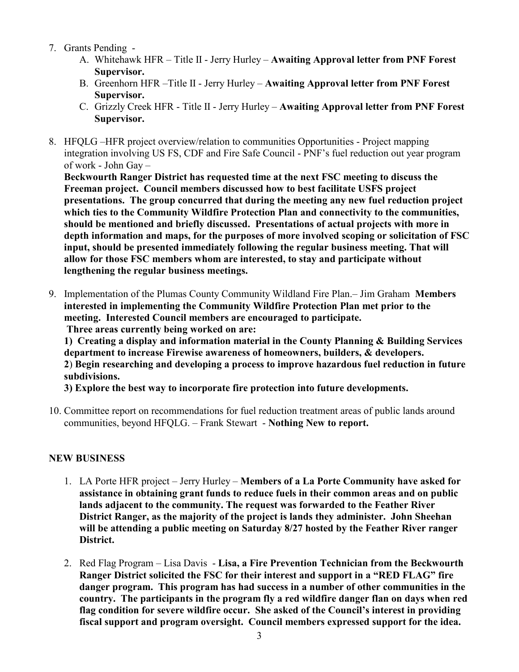- 7. Grants Pending
	- A. Whitehawk HFR Title II Jerry Hurley Awaiting Approval letter from PNF Forest Supervisor.
	- B. Greenhorn HFR –Title II Jerry Hurley Awaiting Approval letter from PNF Forest Supervisor.
	- C. Grizzly Creek HFR Title II Jerry Hurley Awaiting Approval letter from PNF Forest Supervisor.
- 8. HFQLG –HFR project overview/relation to communities Opportunities Project mapping integration involving US FS, CDF and Fire Safe Council - PNF's fuel reduction out year program of work - John Gay –

Beckwourth Ranger District has requested time at the next FSC meeting to discuss the Freeman project. Council members discussed how to best facilitate USFS project presentations. The group concurred that during the meeting any new fuel reduction project which ties to the Community Wildfire Protection Plan and connectivity to the communities, should be mentioned and briefly discussed. Presentations of actual projects with more in depth information and maps, for the purposes of more involved scoping or solicitation of FSC input, should be presented immediately following the regular business meeting. That will allow for those FSC members whom are interested, to stay and participate without lengthening the regular business meetings.

9. Implementation of the Plumas County Community Wildland Fire Plan.– Jim Graham Members interested in implementing the Community Wildfire Protection Plan met prior to the meeting. Interested Council members are encouraged to participate. Three areas currently being worked on are:

1) Creating a display and information material in the County Planning & Building Services department to increase Firewise awareness of homeowners, builders, & developers. 2) Begin researching and developing a process to improve hazardous fuel reduction in future subdivisions.

3) Explore the best way to incorporate fire protection into future developments.

10. Committee report on recommendations for fuel reduction treatment areas of public lands around communities, beyond HFQLG. – Frank Stewart - Nothing New to report.

## NEW BUSINESS

- 1. LA Porte HFR project Jerry Hurley Members of a La Porte Community have asked for assistance in obtaining grant funds to reduce fuels in their common areas and on public lands adjacent to the community. The request was forwarded to the Feather River District Ranger, as the majority of the project is lands they administer. John Sheehan will be attending a public meeting on Saturday 8/27 hosted by the Feather River ranger District.
- 2. Red Flag Program Lisa Davis Lisa, a Fire Prevention Technician from the Beckwourth Ranger District solicited the FSC for their interest and support in a "RED FLAG" fire danger program. This program has had success in a number of other communities in the country. The participants in the program fly a red wildfire danger flan on days when red flag condition for severe wildfire occur. She asked of the Council's interest in providing fiscal support and program oversight. Council members expressed support for the idea.